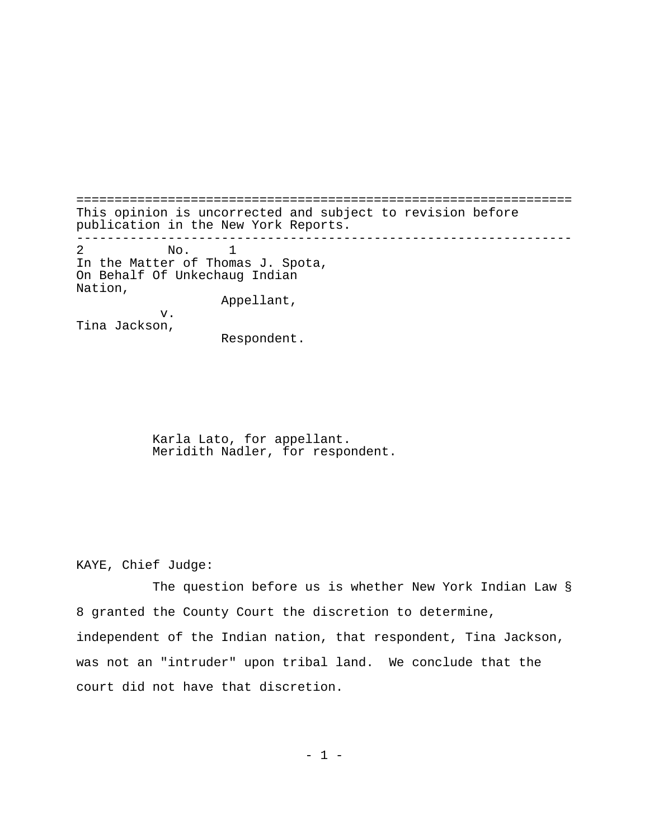================================================================= This opinion is uncorrected and subject to revision before publication in the New York Reports. ----------------------------------------------------------------- 2 No. 1 In the Matter of Thomas J. Spota, On Behalf Of Unkechaug Indian Nation, Appellant, v. Tina Jackson,

Respondent.

Karla Lato, for appellant. Meridith Nadler, for respondent.

KAYE, Chief Judge:

The question before us is whether New York Indian Law § 8 granted the County Court the discretion to determine, independent of the Indian nation, that respondent, Tina Jackson, was not an "intruder" upon tribal land. We conclude that the court did not have that discretion.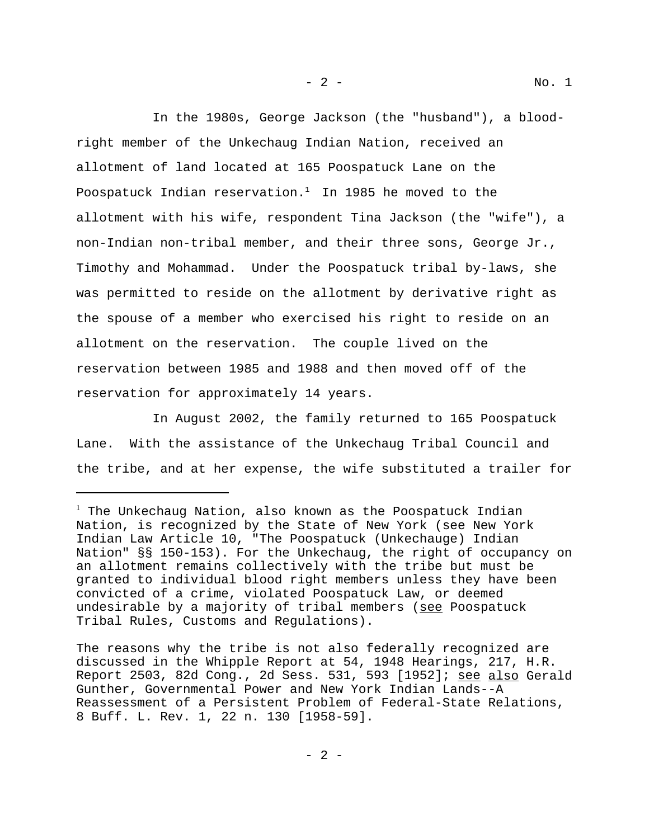In the 1980s, George Jackson (the "husband"), a bloodright member of the Unkechaug Indian Nation, received an allotment of land located at 165 Poospatuck Lane on the Poospatuck Indian reservation. $1$  In 1985 he moved to the allotment with his wife, respondent Tina Jackson (the "wife"), a non-Indian non-tribal member, and their three sons, George Jr., Timothy and Mohammad. Under the Poospatuck tribal by-laws, she was permitted to reside on the allotment by derivative right as the spouse of a member who exercised his right to reside on an allotment on the reservation. The couple lived on the reservation between 1985 and 1988 and then moved off of the reservation for approximately 14 years.

In August 2002, the family returned to 165 Poospatuck Lane. With the assistance of the Unkechaug Tribal Council and the tribe, and at her expense, the wife substituted a trailer for

 $^1$  The Unkechaug Nation, also known as the Poospatuck Indian Nation, is recognized by the State of New York (see New York Indian Law Article 10, "The Poospatuck (Unkechauge) Indian Nation" §§ 150-153). For the Unkechaug, the right of occupancy on an allotment remains collectively with the tribe but must be granted to individual blood right members unless they have been convicted of a crime, violated Poospatuck Law, or deemed undesirable by a majority of tribal members (see Poospatuck Tribal Rules, Customs and Regulations).

The reasons why the tribe is not also federally recognized are discussed in the Whipple Report at 54, 1948 Hearings, 217, H.R. Report 2503, 82d Cong., 2d Sess. 531, 593 [1952]; see also Gerald Gunther, Governmental Power and New York Indian Lands--A Reassessment of a Persistent Problem of Federal-State Relations, 8 Buff. L. Rev. 1, 22 n. 130 [1958-59].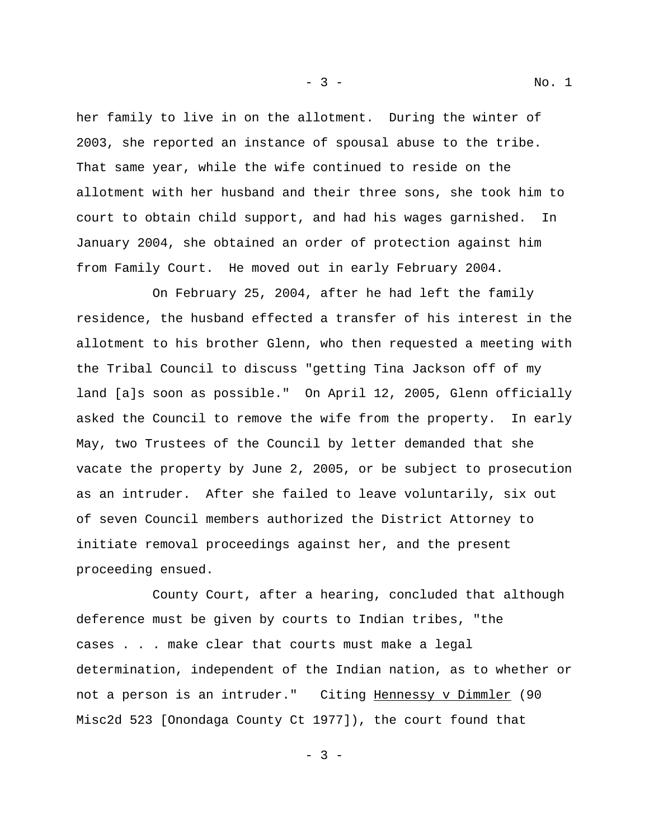her family to live in on the allotment. During the winter of 2003, she reported an instance of spousal abuse to the tribe. That same year, while the wife continued to reside on the allotment with her husband and their three sons, she took him to court to obtain child support, and had his wages garnished. In January 2004, she obtained an order of protection against him from Family Court. He moved out in early February 2004.

On February 25, 2004, after he had left the family residence, the husband effected a transfer of his interest in the allotment to his brother Glenn, who then requested a meeting with the Tribal Council to discuss "getting Tina Jackson off of my land [a]s soon as possible." On April 12, 2005, Glenn officially asked the Council to remove the wife from the property. In early May, two Trustees of the Council by letter demanded that she vacate the property by June 2, 2005, or be subject to prosecution as an intruder. After she failed to leave voluntarily, six out of seven Council members authorized the District Attorney to initiate removal proceedings against her, and the present proceeding ensued.

 County Court, after a hearing, concluded that although deference must be given by courts to Indian tribes, "the cases . . . make clear that courts must make a legal determination, independent of the Indian nation, as to whether or not a person is an intruder." Citing Hennessy v Dimmler (90 Misc2d 523 [Onondaga County Ct 1977]), the court found that

- 3 - No. 1

- 3 -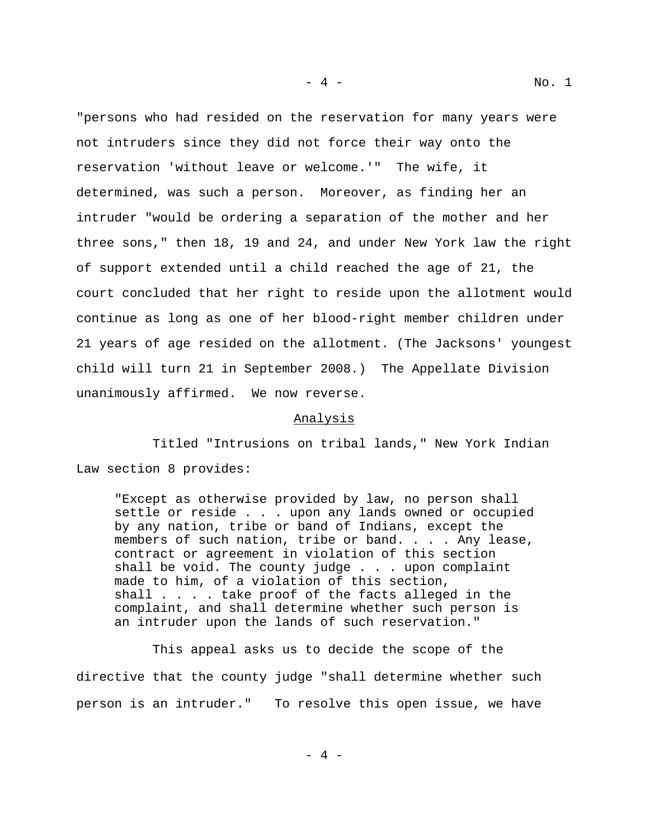"persons who had resided on the reservation for many years were not intruders since they did not force their way onto the reservation 'without leave or welcome.'" The wife, it determined, was such a person. Moreover, as finding her an intruder "would be ordering a separation of the mother and her three sons," then 18, 19 and 24, and under New York law the right of support extended until a child reached the age of 21, the court concluded that her right to reside upon the allotment would continue as long as one of her blood-right member children under 21 years of age resided on the allotment. (The Jacksons' youngest child will turn 21 in September 2008.) The Appellate Division unanimously affirmed. We now reverse.

## Analysis

 Titled "Intrusions on tribal lands," New York Indian Law section 8 provides:

"Except as otherwise provided by law, no person shall settle or reside . . . upon any lands owned or occupied by any nation, tribe or band of Indians, except the members of such nation, tribe or band. . . . Any lease, contract or agreement in violation of this section shall be void. The county judge . . . upon complaint made to him, of a violation of this section, shall . . . . take proof of the facts alleged in the complaint, and shall determine whether such person is an intruder upon the lands of such reservation."

This appeal asks us to decide the scope of the directive that the county judge "shall determine whether such person is an intruder." To resolve this open issue, we have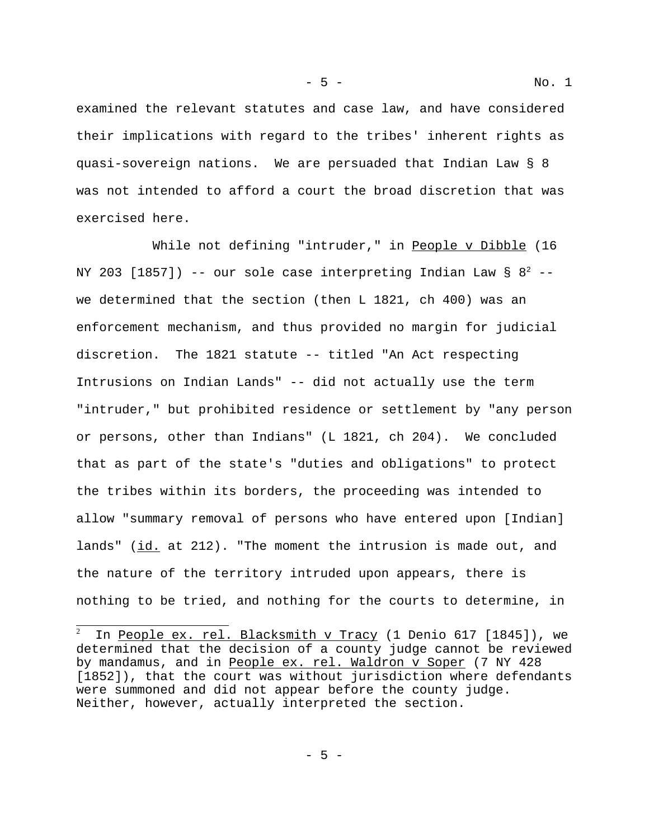examined the relevant statutes and case law, and have considered their implications with regard to the tribes' inherent rights as quasi-sovereign nations. We are persuaded that Indian Law § 8 was not intended to afford a court the broad discretion that was exercised here.

While not defining "intruder," in People v Dibble (16 NY 203 [1857]) -- our sole case interpreting Indian Law §  $8^2$  -we determined that the section (then L 1821, ch 400) was an enforcement mechanism, and thus provided no margin for judicial discretion. The 1821 statute -- titled "An Act respecting Intrusions on Indian Lands" -- did not actually use the term "intruder," but prohibited residence or settlement by "any person or persons, other than Indians" (L 1821, ch 204). We concluded that as part of the state's "duties and obligations" to protect the tribes within its borders, the proceeding was intended to allow "summary removal of persons who have entered upon [Indian] lands" (id. at 212). "The moment the intrusion is made out, and the nature of the territory intruded upon appears, there is nothing to be tried, and nothing for the courts to determine, in

<sup>2</sup> In People ex. rel. Blacksmith v Tracy (1 Denio 617 [1845]), we determined that the decision of a county judge cannot be reviewed by mandamus, and in People ex. rel. Waldron v Soper (7 NY 428) [1852]), that the court was without jurisdiction where defendants were summoned and did not appear before the county judge. Neither, however, actually interpreted the section.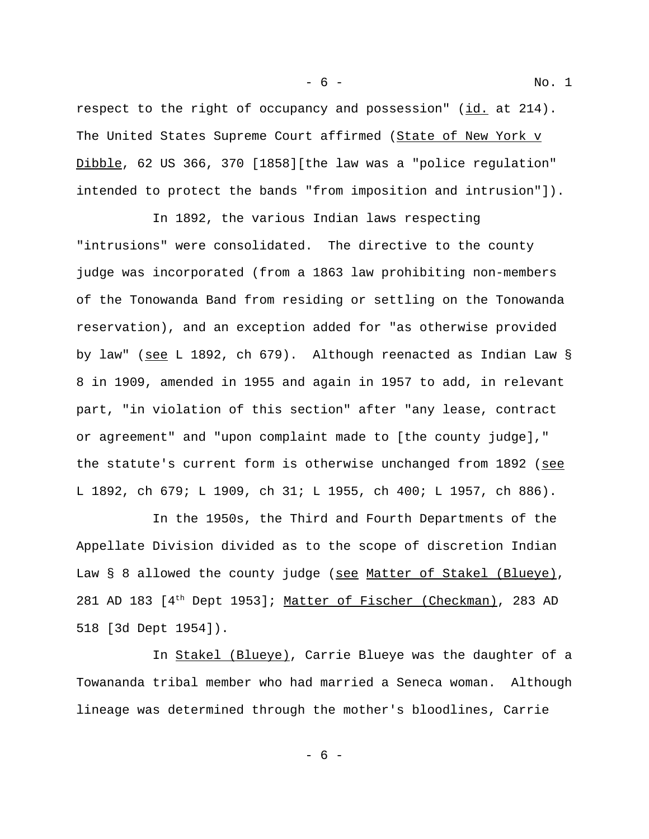respect to the right of occupancy and possession" (id. at 214). The United States Supreme Court affirmed (State of New York v Dibble, 62 US 366, 370 [1858][the law was a "police regulation" intended to protect the bands "from imposition and intrusion"]).

In 1892, the various Indian laws respecting "intrusions" were consolidated. The directive to the county judge was incorporated (from a 1863 law prohibiting non-members of the Tonowanda Band from residing or settling on the Tonowanda reservation), and an exception added for "as otherwise provided by law" (see L 1892, ch 679). Although reenacted as Indian Law § 8 in 1909, amended in 1955 and again in 1957 to add, in relevant part, "in violation of this section" after "any lease, contract or agreement" and "upon complaint made to [the county judge]," the statute's current form is otherwise unchanged from 1892 (see L 1892, ch 679; L 1909, ch 31; L 1955, ch 400; L 1957, ch 886).

In the 1950s, the Third and Fourth Departments of the Appellate Division divided as to the scope of discretion Indian Law § 8 allowed the county judge (see Matter of Stakel (Blueye), 281 AD 183 [4<sup>th</sup> Dept 1953]; Matter of Fischer (Checkman), 283 AD 518 [3d Dept 1954]).

In Stakel (Blueye), Carrie Blueye was the daughter of a Towananda tribal member who had married a Seneca woman. Although lineage was determined through the mother's bloodlines, Carrie

- 6 - No. 1

- 6 -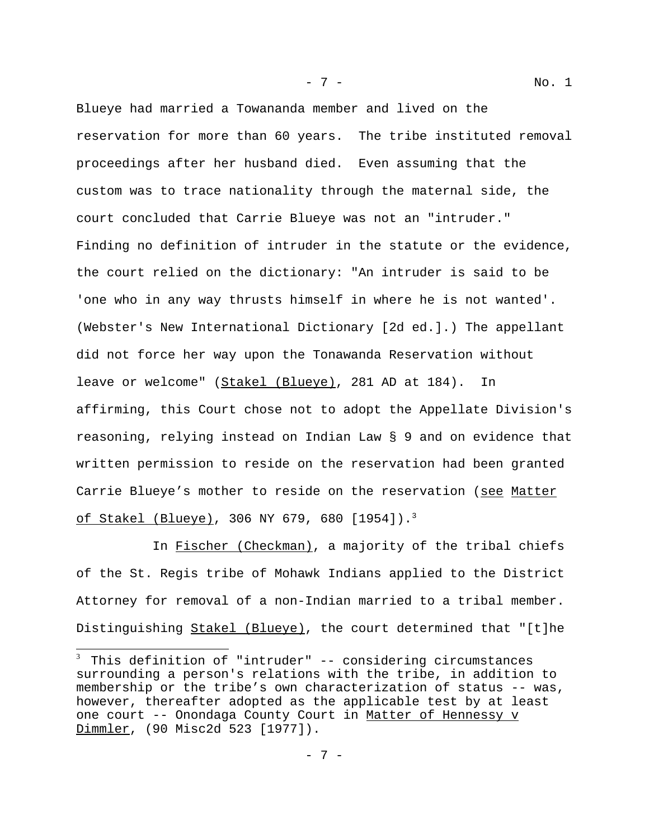Blueye had married a Towananda member and lived on the reservation for more than 60 years. The tribe instituted removal proceedings after her husband died. Even assuming that the custom was to trace nationality through the maternal side, the court concluded that Carrie Blueye was not an "intruder." Finding no definition of intruder in the statute or the evidence, the court relied on the dictionary: "An intruder is said to be 'one who in any way thrusts himself in where he is not wanted'. (Webster's New International Dictionary [2d ed.].) The appellant did not force her way upon the Tonawanda Reservation without leave or welcome" (Stakel (Blueye), 281 AD at 184). In affirming, this Court chose not to adopt the Appellate Division's reasoning, relying instead on Indian Law § 9 and on evidence that written permission to reside on the reservation had been granted Carrie Blueye's mother to reside on the reservation (see Matter of Stakel (Blueye), 306 NY 679, 680 [1954]).<sup>3</sup>

In Fischer (Checkman), a majority of the tribal chiefs of the St. Regis tribe of Mohawk Indians applied to the District Attorney for removal of a non-Indian married to a tribal member. Distinguishing Stakel (Blueye), the court determined that "[t]he

- 7 - No. 1

 $3$  This definition of "intruder" -- considering circumstances surrounding a person's relations with the tribe, in addition to membership or the tribe's own characterization of status -- was, however, thereafter adopted as the applicable test by at least one court -- Onondaga County Court in Matter of Hennessy v Dimmler, (90 Misc2d 523 [1977]).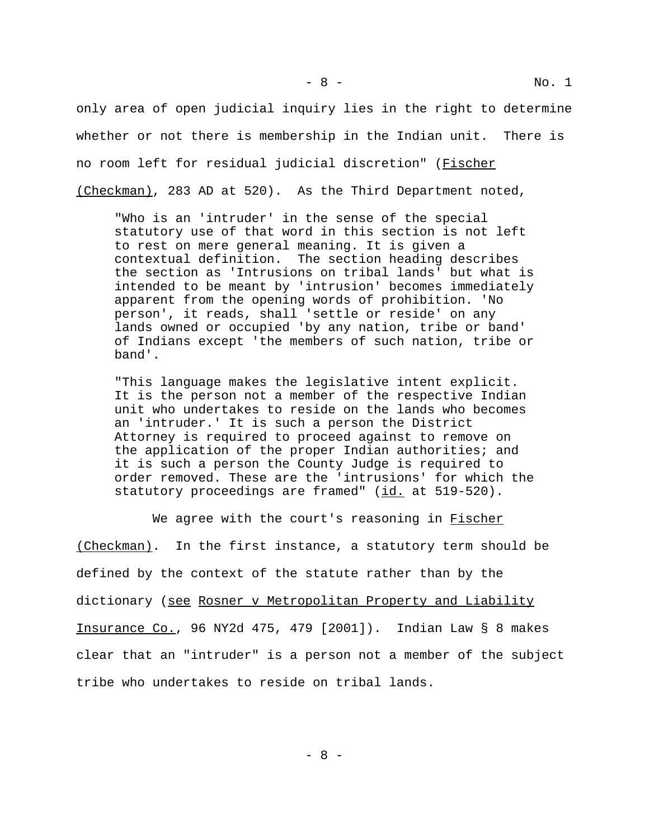only area of open judicial inquiry lies in the right to determine whether or not there is membership in the Indian unit. There is no room left for residual judicial discretion" (Fischer (Checkman), 283 AD at 520). As the Third Department noted,

"Who is an 'intruder' in the sense of the special statutory use of that word in this section is not left to rest on mere general meaning. It is given a contextual definition. The section heading describes the section as 'Intrusions on tribal lands' but what is intended to be meant by 'intrusion' becomes immediately apparent from the opening words of prohibition. 'No person', it reads, shall 'settle or reside' on any lands owned or occupied 'by any nation, tribe or band' of Indians except 'the members of such nation, tribe or band'.

"This language makes the legislative intent explicit. It is the person not a member of the respective Indian unit who undertakes to reside on the lands who becomes an 'intruder.' It is such a person the District Attorney is required to proceed against to remove on the application of the proper Indian authorities; and it is such a person the County Judge is required to order removed. These are the 'intrusions' for which the statutory proceedings are framed" (id. at 519-520).

We agree with the court's reasoning in Fischer (Checkman). In the first instance, a statutory term should be defined by the context of the statute rather than by the dictionary (see Rosner v Metropolitan Property and Liability Insurance Co., 96 NY2d 475, 479 [2001]). Indian Law § 8 makes clear that an "intruder" is a person not a member of the subject tribe who undertakes to reside on tribal lands.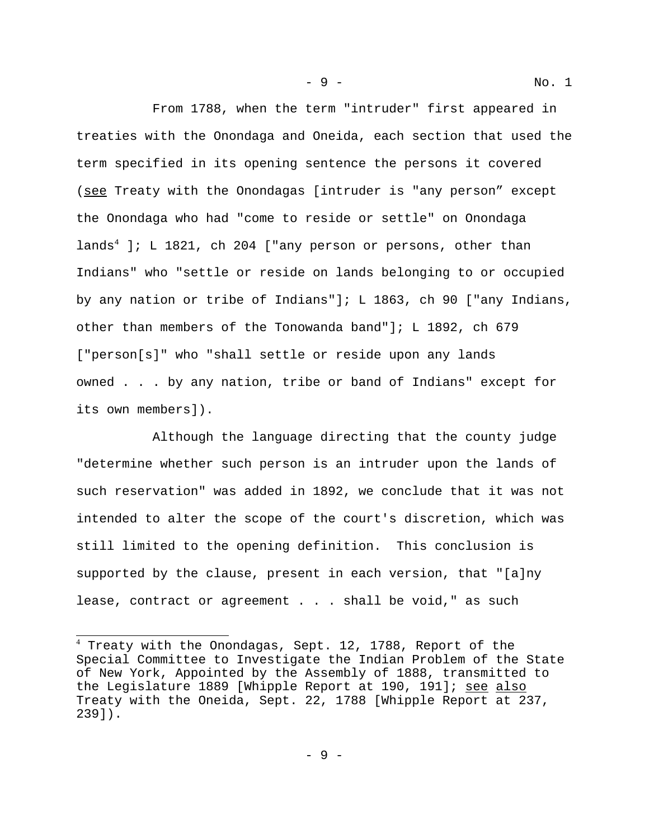From 1788, when the term "intruder" first appeared in treaties with the Onondaga and Oneida, each section that used the term specified in its opening sentence the persons it covered (see Treaty with the Onondagas [intruder is "any person" except the Onondaga who had "come to reside or settle" on Onondaga lands<sup>4</sup> ]; L 1821, ch 204 ["any person or persons, other than Indians" who "settle or reside on lands belonging to or occupied by any nation or tribe of Indians"]; L 1863, ch 90 ["any Indians, other than members of the Tonowanda band"]; L 1892, ch 679 ["person[s]" who "shall settle or reside upon any lands owned . . . by any nation, tribe or band of Indians" except for its own members]).

Although the language directing that the county judge "determine whether such person is an intruder upon the lands of such reservation" was added in 1892, we conclude that it was not intended to alter the scope of the court's discretion, which was still limited to the opening definition. This conclusion is supported by the clause, present in each version, that "[a]ny lease, contract or agreement . . . shall be void," as such

- 9 - No. 1

 $^4$  Treaty with the Onondagas, Sept. 12, 1788, Report of the Special Committee to Investigate the Indian Problem of the State of New York, Appointed by the Assembly of 1888, transmitted to the Legislature 1889 [Whipple Report at 190, 191]; see also Treaty with the Oneida, Sept. 22, 1788 [Whipple Report at 237, 239]).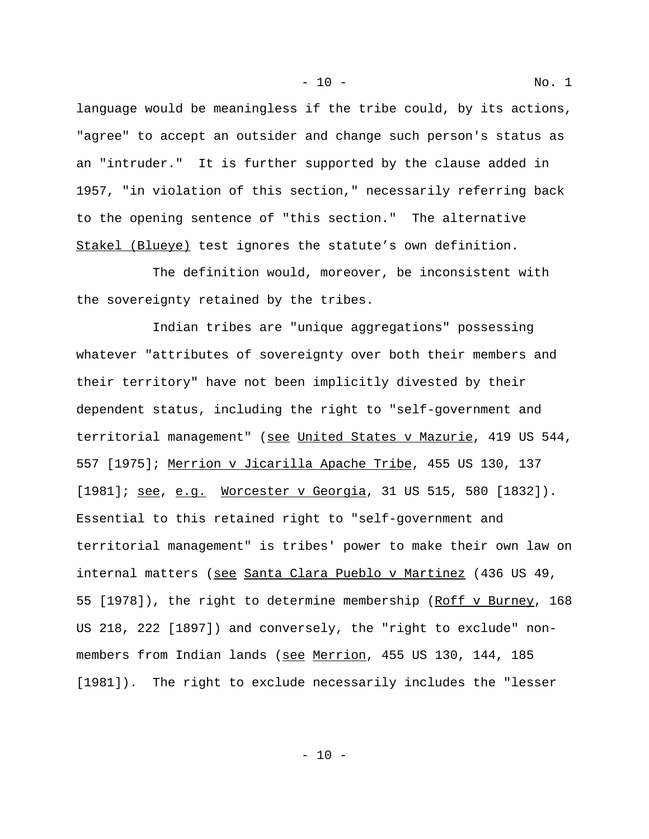language would be meaningless if the tribe could, by its actions, "agree" to accept an outsider and change such person's status as an "intruder." It is further supported by the clause added in 1957, "in violation of this section," necessarily referring back to the opening sentence of "this section." The alternative Stakel (Blueye) test ignores the statute's own definition.

The definition would, moreover, be inconsistent with the sovereignty retained by the tribes.

 Indian tribes are "unique aggregations" possessing whatever "attributes of sovereignty over both their members and their territory" have not been implicitly divested by their dependent status, including the right to "self-government and territorial management" (see United States v Mazurie, 419 US 544, 557 [1975]; Merrion v Jicarilla Apache Tribe, 455 US 130, 137 [1981]; see, e.g. Worcester v Georgia, 31 US 515, 580 [1832]). Essential to this retained right to "self-government and territorial management" is tribes' power to make their own law on internal matters (see Santa Clara Pueblo v Martinez (436 US 49, 55 [1978]), the right to determine membership (Roff v Burney, 168 US 218, 222 [1897]) and conversely, the "right to exclude" nonmembers from Indian lands (see Merrion, 455 US 130, 144, 185 [1981]). The right to exclude necessarily includes the "lesser

- 10 - No. 1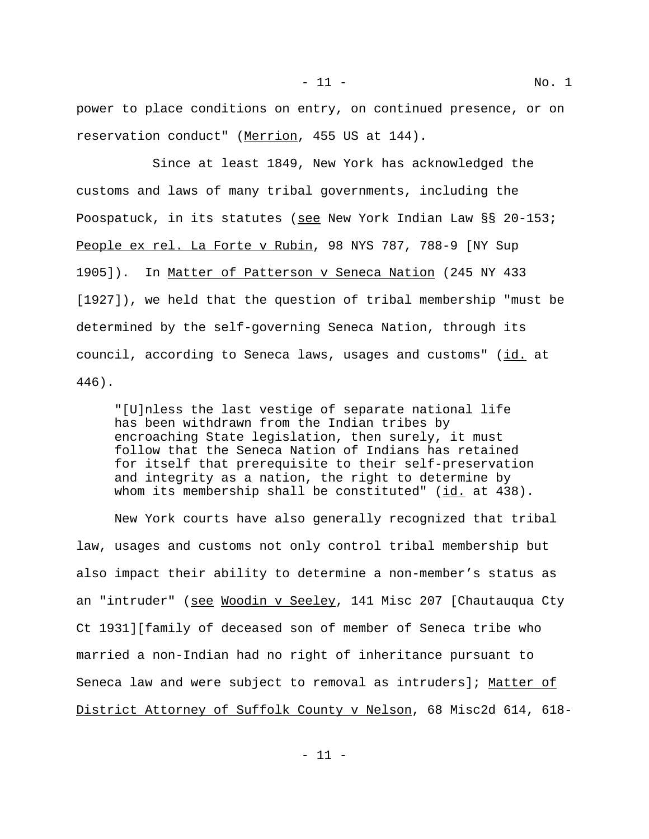power to place conditions on entry, on continued presence, or on reservation conduct" (Merrion, 455 US at 144).

Since at least 1849, New York has acknowledged the customs and laws of many tribal governments, including the Poospatuck, in its statutes (see New York Indian Law §§ 20-153; People ex rel. La Forte v Rubin, 98 NYS 787, 788-9 [NY Sup 1905]). In Matter of Patterson v Seneca Nation (245 NY 433 [1927]), we held that the question of tribal membership "must be determined by the self-governing Seneca Nation, through its council, according to Seneca laws, usages and customs" (id. at 446).

"[U]nless the last vestige of separate national life has been withdrawn from the Indian tribes by encroaching State legislation, then surely, it must follow that the Seneca Nation of Indians has retained for itself that prerequisite to their self-preservation and integrity as a nation, the right to determine by whom its membership shall be constituted"  $(id.$  at  $438)$ .

New York courts have also generally recognized that tribal law, usages and customs not only control tribal membership but also impact their ability to determine a non-member's status as an "intruder" (see Woodin v Seeley, 141 Misc 207 [Chautauqua Cty Ct 1931][family of deceased son of member of Seneca tribe who married a non-Indian had no right of inheritance pursuant to Seneca law and were subject to removal as intruders]; Matter of District Attorney of Suffolk County v Nelson, 68 Misc2d 614, 618-

- 11 -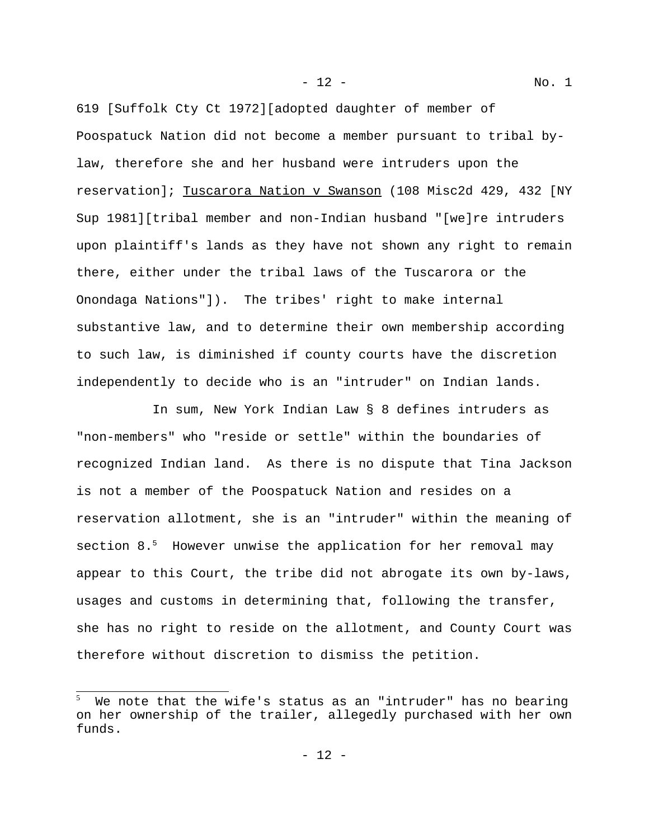619 [Suffolk Cty Ct 1972][adopted daughter of member of Poospatuck Nation did not become a member pursuant to tribal bylaw, therefore she and her husband were intruders upon the reservation]; Tuscarora Nation v Swanson (108 Misc2d 429, 432 [NY Sup 1981][tribal member and non-Indian husband "[we]re intruders upon plaintiff's lands as they have not shown any right to remain there, either under the tribal laws of the Tuscarora or the Onondaga Nations"]). The tribes' right to make internal substantive law, and to determine their own membership according to such law, is diminished if county courts have the discretion independently to decide who is an "intruder" on Indian lands.

- 12 - No. 1

In sum, New York Indian Law § 8 defines intruders as "non-members" who "reside or settle" within the boundaries of recognized Indian land. As there is no dispute that Tina Jackson is not a member of the Poospatuck Nation and resides on a reservation allotment, she is an "intruder" within the meaning of section 8.<sup>5</sup> However unwise the application for her removal may appear to this Court, the tribe did not abrogate its own by-laws, usages and customs in determining that, following the transfer, she has no right to reside on the allotment, and County Court was therefore without discretion to dismiss the petition.

<sup>5</sup> We note that the wife's status as an "intruder" has no bearing on her ownership of the trailer, allegedly purchased with her own funds.